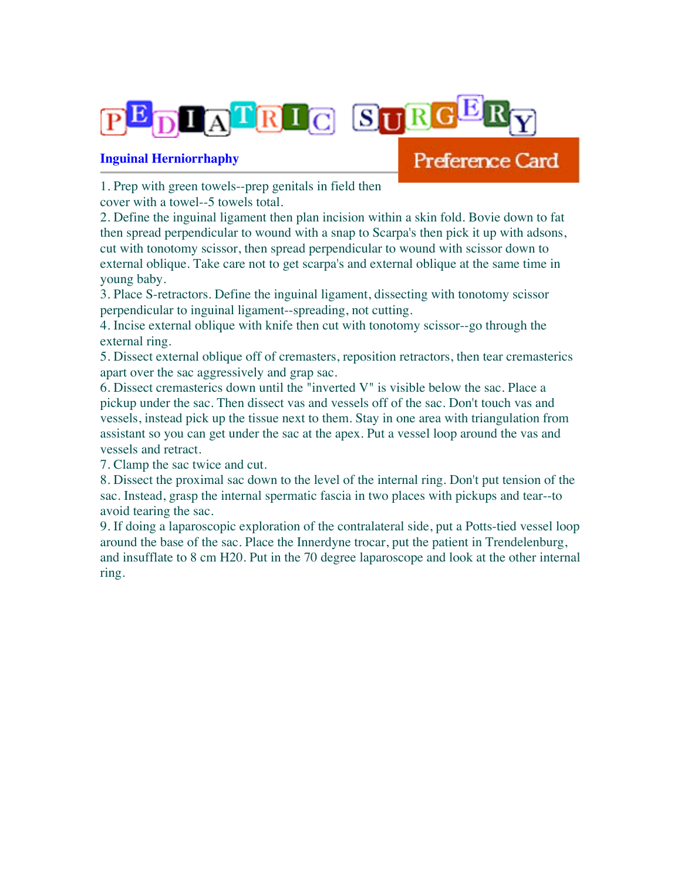

## **Inguinal Herniorrhaphy**

## Preference Card

1. Prep with green towels--prep genitals in field then

cover with a towel--5 towels total.

2. Define the inguinal ligament then plan incision within a skin fold. Bovie down to fat then spread perpendicular to wound with a snap to Scarpa's then pick it up with adsons, cut with tonotomy scissor, then spread perpendicular to wound with scissor down to external oblique. Take care not to get scarpa's and external oblique at the same time in young baby.

3. Place S-retractors. Define the inguinal ligament, dissecting with tonotomy scissor perpendicular to inguinal ligament--spreading, not cutting.

4. Incise external oblique with knife then cut with tonotomy scissor--go through the external ring.

5. Dissect external oblique off of cremasters, reposition retractors, then tear cremasterics apart over the sac aggressively and grap sac.

6. Dissect cremasterics down until the "inverted V" is visible below the sac. Place a pickup under the sac. Then dissect vas and vessels off of the sac. Don't touch vas and vessels, instead pick up the tissue next to them. Stay in one area with triangulation from assistant so you can get under the sac at the apex. Put a vessel loop around the vas and vessels and retract.

7. Clamp the sac twice and cut.

8. Dissect the proximal sac down to the level of the internal ring. Don't put tension of the sac. Instead, grasp the internal spermatic fascia in two places with pickups and tear--to avoid tearing the sac.

9. If doing a laparoscopic exploration of the contralateral side, put a Potts-tied vessel loop around the base of the sac. Place the Innerdyne trocar, put the patient in Trendelenburg, and insufflate to 8 cm H20. Put in the 70 degree laparoscope and look at the other internal ring.